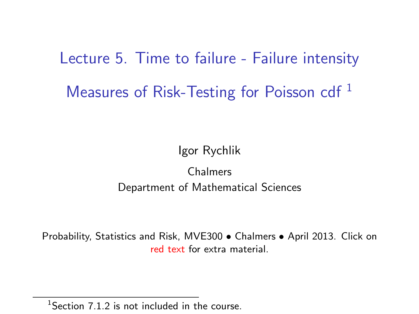Lecture 5. Time to failure - Failure intensity Measures of Risk-Testing for Poisson cdf<sup>1</sup>

Igor Rychlik

Chalmers Department of Mathematical Sciences

Probability, Statistics and Risk, MVE300 • Chalmers • April 2013. Click on [red text](http://www.math.chalmers.se/Stat/Grundutb/CTH/mve300/1112/) for extra material.

<sup>&</sup>lt;sup>1</sup>Section  $7.1.2$  is not included in the course.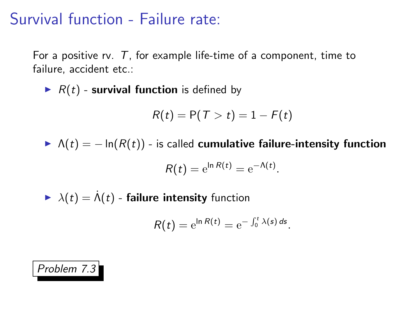## Survival function - Failure rate:

For a positive rv.  $T$ , for example life-time of a component, time to failure, accident etc.:

 $\blacktriangleright$  R(t) - survival function is defined by

$$
R(t) = P(T > t) = 1 - F(t)
$$

 $\blacktriangleright \Lambda(t) = -\ln(R(t))$  - is called cumulative failure-intensity function

$$
R(t) = e^{\ln R(t)} = e^{-\Lambda(t)}.
$$

 $\lambda(t) = \dot{\Lambda}(t)$  - failure intensity function

$$
R(t) = e^{\ln R(t)} = e^{-\int_0^t \lambda(s) ds}.
$$

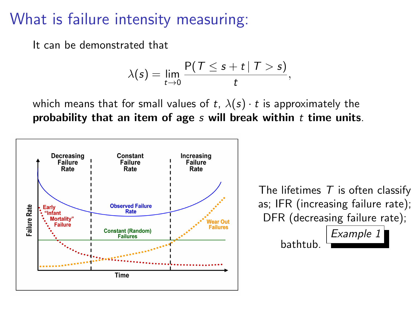### What is failure intensity measuring:

It can be demonstrated that

$$
\lambda(s)=\lim_{t\to 0}\frac{P(T\leq s+t\mid T>s)}{t},
$$

which means that for small values of t,  $\lambda(s) \cdot t$  is approximately the probability that an item of age  $s$  will break within  $t$  time units.

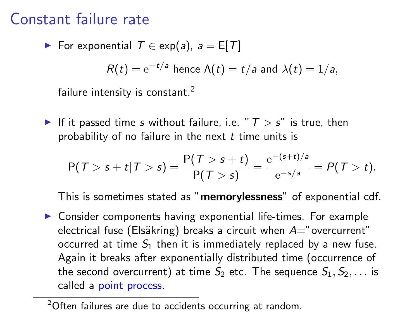### Constant failure rate

For exponential 
$$
T \in \exp(a)
$$
,  $a = E[T]$ 

$$
R(t) = e^{-t/a}
$$
 hence  $\Lambda(t) = t/a$  and  $\lambda(t) = 1/a$ ,

failure intensity is constant.<sup>2</sup>

If it passed time s without failure, i.e. " $T > s$ " is true, then probability of no failure in the next  $t$  time units is

$$
P(T > s + t | T > s) = \frac{P(T > s + t)}{P(T > s)} = \frac{e^{-(s+t)/a}}{e^{-s/a}} = P(T > t).
$$

This is sometimes stated as "memorylessness" of exponential cdf.

 $\triangleright$  Consider components having exponential life-times. For example electrical fuse (Elsäkring) breaks a circuit when  $A=$ "overcurrent" occurred at time  $S_1$  then it is immediately replaced by a new fuse. Again it breaks after exponentially distributed time (occurrence of the second overcurrent) at time  $S_2$  etc. The sequence  $S_1, S_2, \ldots$  is called a point process.

<sup>&</sup>lt;sup>2</sup>Often failures are due to accidents occurring at random.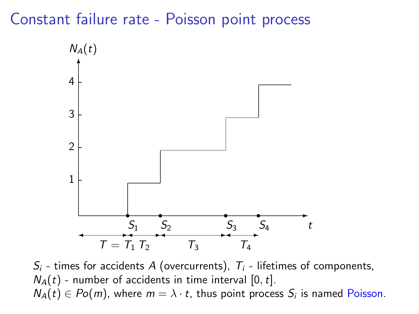#### Constant failure rate - Poisson point process



 $S_i$  - times for accidents A (overcurrents),  $T_i$  - lifetimes of components,  $N_A(t)$  - number of accidents in time interval [0, t].  $N_A(t) \in Po(m)$ , where  $m = \lambda \cdot t$ , thus point process  $S_i$  is named Poisson.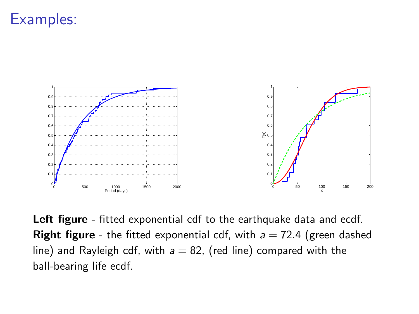## Examples:



Left figure - fitted exponential cdf to the earthquake data and ecdf. **Right figure** - the fitted exponential cdf, with  $a = 72.4$  (green dashed line) and Rayleigh cdf, with  $a = 82$ , (red line) compared with the ball-bearing life ecdf.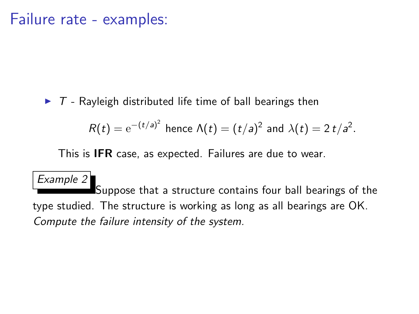#### Failure rate - examples:

 $\triangleright$  T - Rayleigh distributed life time of ball bearings then

$$
R(t) = e^{-(t/a)^2}
$$
 hence  $\Lambda(t) = (t/a)^2$  and  $\lambda(t) = 2t/a^2$ .

This is IFR case, as expected. Failures are due to wear.

Example 2 Suppose that a structure contains four ball bearings of the type studied. The structure is working as long as all bearings are OK. Compute the failure intensity of the system.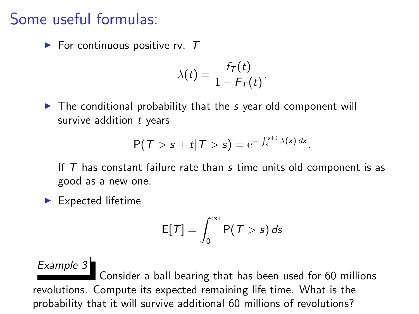### Some useful formulas:

 $\blacktriangleright$  For continuous positive rv. T

$$
\lambda(t)=\frac{f_T(t)}{1-F_T(t)}.
$$

 $\triangleright$  The conditional probability that the s year old component will survive addition  $t$  years

$$
P(T>s+t|T>s)=e^{-\int_s^{s+t}\lambda(x)\,dx}.
$$

If  $T$  has constant failure rate than  $s$  time units old component is as good as a new one.

 $\blacktriangleright$  Expected lifetime

$$
\mathsf{E}[\mathcal{T}] = \int_0^\infty \mathsf{P}(\mathcal{T} > s) \, ds
$$

Example 3 Consider a ball bearing that has been used for 60 millions revolutions. Compute its expected remaining life time. What is the probability that it will survive additional 60 millions of revolutions?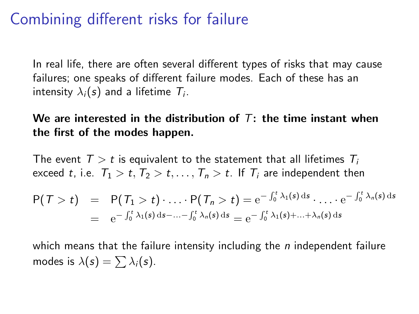## Combining different risks for failure

In real life, there are often several different types of risks that may cause failures; one speaks of different failure modes. Each of these has an intensity  $\lambda_i(s)$  and a lifetime  $\mathcal{T}_i$ .

We are interested in the distribution of  $T$ : the time instant when the first of the modes happen.

The event  $T > t$  is equivalent to the statement that all lifetimes  $T_i$ exceed t, i.e.  $T_1 > t$ ,  $T_2 > t$ , ...,  $T_n > t$ . If  $T_i$  are independent then

$$
P(T > t) = P(T_1 > t) \cdot \ldots \cdot P(T_n > t) = e^{-\int_0^t \lambda_1(s) ds} \cdot \ldots \cdot e^{-\int_0^t \lambda_n(s) ds}
$$
  
=  $e^{-\int_0^t \lambda_1(s) ds - \ldots - \int_0^t \lambda_n(s) ds} = e^{-\int_0^t \lambda_1(s) + \ldots + \lambda_n(s) ds}$ 

which means that the failure intensity including the  $n$  independent failure modes is  $\lambda(s) = \sum \lambda_i(s)$ .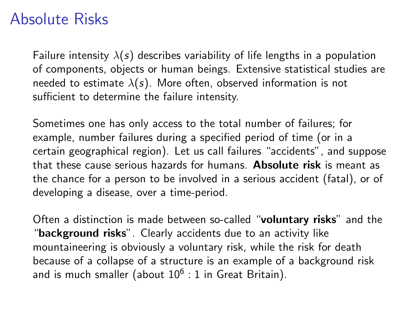### Absolute Risks

Failure intensity  $\lambda(s)$  describes variability of life lengths in a population of components, objects or human beings. Extensive statistical studies are needed to estimate  $\lambda(s)$ . More often, observed information is not sufficient to determine the failure intensity.

Sometimes one has only access to the total number of failures; for example, number failures during a specified period of time (or in a certain geographical region). Let us call failures "accidents", and suppose that these cause serious hazards for humans. Absolute risk is meant as the chance for a person to be involved in a serious accident (fatal), or of developing a disease, over a time-period.

Often a distinction is made between so-called "voluntary risks" and the "background risks". Clearly accidents due to an activity like mountaineering is obviously a voluntary risk, while the risk for death because of a collapse of a structure is an example of a background risk and is much smaller (about  $10^6:1$  in Great Britain).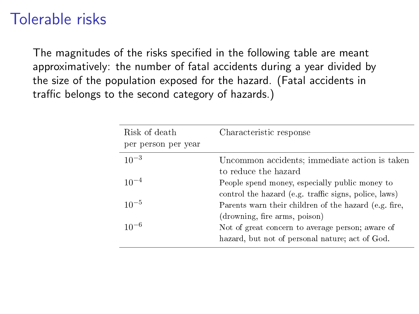## Tolerable risks

The magnitudes of the risks specified in the following table are meant approximatively: the number of fatal accidents during a year divided by the size of the population exposed for the hazard. (Fatal accidents in traffic belongs to the second category of hazards.)

| Risk of death       | Characteristic response                               |
|---------------------|-------------------------------------------------------|
| per person per year |                                                       |
| $10^{-3}$           | Uncommon accidents; immediate action is taken         |
|                     | to reduce the hazard                                  |
| $10^{-4}$           | People spend money, especially public money to        |
|                     | control the hazard (e.g. traffic signs, police, laws) |
| $10^{-5}$           | Parents warn their children of the hazard (e.g. fire, |
|                     | (drowning, fire arms, poison)                         |
| $10^{-6}$           | Not of great concern to average person; aware of      |
|                     | hazard, but not of personal nature; act of God.       |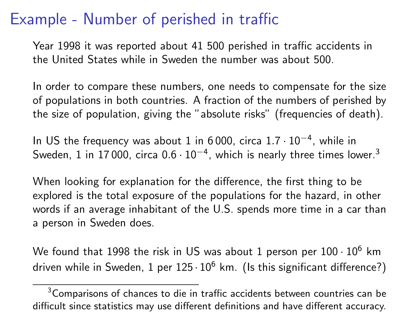## Example - Number of perished in traffic

Year 1998 it was reported about 41 500 perished in traffic accidents in the United States while in Sweden the number was about 500.

In order to compare these numbers, one needs to compensate for the size of populations in both countries. A fraction of the numbers of perished by the size of population, giving the "absolute risks" (frequencies of death).

In US the frequency was about 1 in 6 000, circa 1.7 · 10<sup>−</sup><sup>4</sup> , while in Sweden, 1 in 17 000, circa 0.6 $\cdot$  10 $^{-4}$ , which is nearly three times lower. $^3$ 

When looking for explanation for the difference, the first thing to be explored is the total exposure of the populations for the hazard, in other words if an average inhabitant of the U.S. spends more time in a car than a person in Sweden does.

We found that 1998 the risk in US was about 1 person per  $100 \cdot 10^6$  km driven while in Sweden, 1 per  $125 \cdot 10^6$  km. (Is this significant difference?)

<sup>&</sup>lt;sup>3</sup>Comparisons of chances to die in traffic accidents between countries can be difficult since statistics may use different definitions and have different accuracy.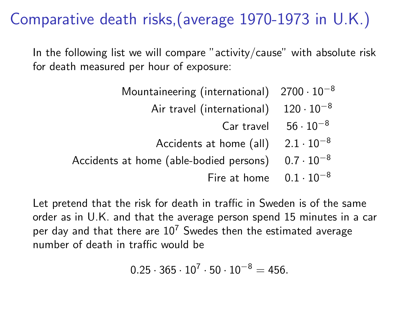# Comparative death risks,(average 1970-1973 in U.K.)

In the following list we will compare "activity/cause" with absolute risk for death measured per hour of exposure:

| Mountaineering (international) $2700 \cdot 10^{-8}$         |                               |
|-------------------------------------------------------------|-------------------------------|
| Air travel (international) $120 \cdot 10^{-8}$              |                               |
|                                                             | Car travel $56 \cdot 10^{-8}$ |
| Accidents at home (all) $2.1 \cdot 10^{-8}$                 |                               |
| Accidents at home (able-bodied persons) $0.7 \cdot 10^{-8}$ |                               |

Fire at home  $0.1 \cdot 10^{-8}$ 

Let pretend that the risk for death in traffic in Sweden is of the same order as in U.K. and that the average person spend 15 minutes in a car per dav and that there are  $10^7$  Swedes then the estimated average number of death in traffic would be

$$
0.25\cdot 365\cdot 10^7\cdot 50\cdot 10^{-8}=456.
$$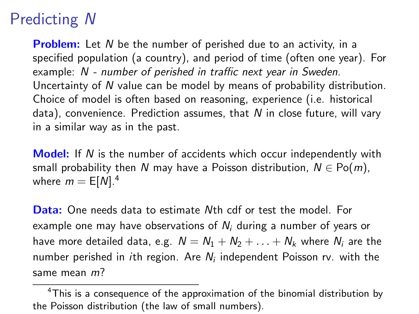# Predicting N

**Problem:** Let N be the number of perished due to an activity, in a specified population (a country), and period of time (often one year). For example: N - number of perished in traffic next year in Sweden. Uncertainty of N value can be model by means of probability distribution. Choice of model is often based on reasoning, experience (i.e. historical data), convenience. Prediction assumes, that  $N$  in close future, will vary in a similar way as in the past.

**Model:** If N is the number of accidents which occur independently with small probability then N may have a Poisson distribution,  $N \in Po(m)$ , where  $m = E[N].<sup>4</sup>$ 

Data: One needs data to estimate Nth cdf or test the model. For example one may have observations of  $N_i$  during a number of years or have more detailed data, e.g.  $N = N_1 + N_2 + ... + N_k$  where  $N_i$  are the number perished in *i*th region. Are  $N_i$  independent Poisson rv. with the same mean m?

<sup>&</sup>lt;sup>4</sup>This is a consequence of the approximation of the binomial distribution by the Poisson distribution (the law of small numbers).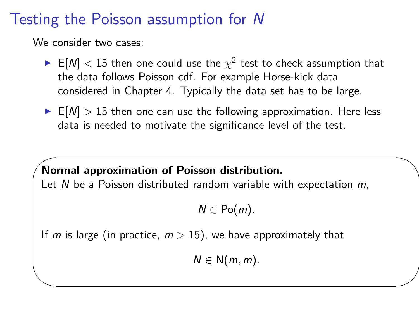## Testing the Poisson assumption for N

We consider two cases:

✫

- $\blacktriangleright$  E[N]  $<$  15 then one could use the  $\chi^2$  test to check assumption that the data follows Poisson cdf. For example Horse-kick data considered in Chapter 4. Typically the data set has to be large.
- $\blacktriangleright$  E[N]  $>$  15 then one can use the following approximation. Here less data is needed to motivate the significance level of the test.

 $\sim$ Normal approximation of Poisson distribution. Let  $N$  be a Poisson distributed random variable with expectation  $m$ ,

 $N \in Po(m)$ .

If m is large (in practice,  $m > 15$ ), we have approximately that

 $N \in N(m, m)$ .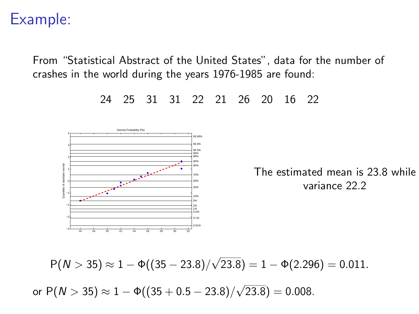### Example:

From "Statistical Abstract of the United States", data for the number of crashes in the world during the years 1976-1985 are found:

−2 −1  $^{\circ}$ 11 L 2 F T 3F 4 Normal Probability Plot 2% 5% 10% 30% 50% 70% 90% 95% 98% 99% 99.5% 99.9% 99.99% The estimated mean is 23.8 while variance 22.2

 $P(N > 35) \approx 1 - \Phi((35 - 23.8))/$ √  $(23.8) = 1 - \Phi(2.296) = 0.011.$ or  ${\sf P}(N>35)\approx 1-\Phi((35+0.5-23.8))/$ √  $(23.8) = 0.008$ .



24 25 31 31 22 21 26 20 16 22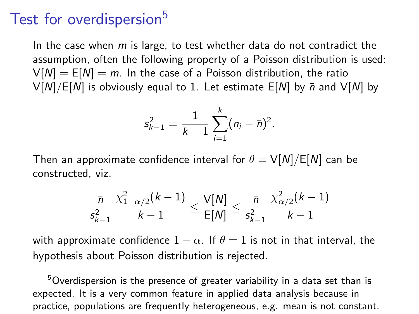### Test for overdispersion<sup>5</sup>

In the case when  $m$  is large, to test whether data do not contradict the assumption, often the following property of a Poisson distribution is used:  $V[N] = E[N] = m$ . In the case of a Poisson distribution, the ratio  $V[N]/E[N]$  is obviously equal to 1. Let estimate  $E[N]$  by  $\bar{n}$  and  $V[N]$  by

$$
s_{k-1}^2 = \frac{1}{k-1} \sum_{i=1}^k (n_i - \bar{n})^2.
$$

Then an approximate confidence interval for  $\theta = V[N]/E[N]$  can be constructed, viz.

$$
\frac{\bar{n}}{s_{k-1}^2} \frac{\chi^2_{1-\alpha/2}(k-1)}{k-1} \leq \frac{\mathsf{V}[N]}{\mathsf{E}[N]} \leq \frac{\bar{n}}{s_{k-1}^2} \frac{\chi^2_{\alpha/2}(k-1)}{k-1}
$$

with approximate confidence  $1 - \alpha$ . If  $\theta = 1$  is not in that interval, the hypothesis about Poisson distribution is rejected.

 $5$ Overdispersion is the presence of greater variability in a data set than is expected. It is a very common feature in applied data analysis because in practice, populations are frequently heterogeneous, e.g. mean is not constant.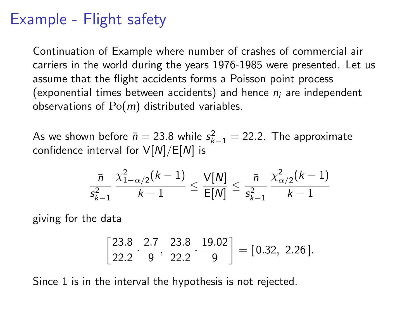## Example - Flight safety

Continuation of Example where number of crashes of commercial air carriers in the world during the years 1976-1985 were presented. Let us assume that the flight accidents forms a Poisson point process (exponential times between accidents) and hence  $n_i$  are independent observations of  $Po(m)$  distributed variables.

As we shown before  $\bar{n} = 23.8$  while  $s_{k-1}^2 = 22.2$ . The approximate confidence interval for  $V[N]/E[N]$  is

$$
\frac{\bar{n}}{s_{k-1}^2} \, \frac{\chi^2_{1-\alpha/2}(k-1)}{k-1} \leq \frac{\mathsf{V}[{\mathsf{N}}]}{\mathsf{E}[{\mathsf{N}}]} \leq \frac{\bar{n}}{s_{k-1}^2} \, \frac{\chi^2_{\alpha/2}(k-1)}{k-1}
$$

giving for the data

$$
\left[\frac{23.8}{22.2} \cdot \frac{2.7}{9}, \frac{23.8}{22.2} \cdot \frac{19.02}{9}\right] = [0.32, 2.26].
$$

Since 1 is in the interval the hypothesis is not rejected.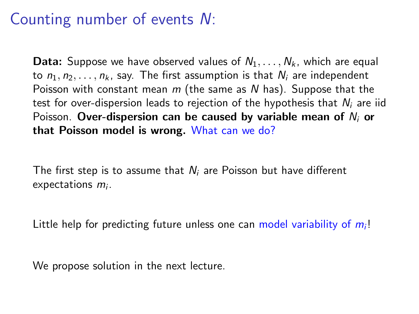## Counting number of events N:

**Data:** Suppose we have observed values of  $N_1, \ldots, N_k$ , which are equal to  $n_1, n_2, \ldots, n_k$ , say. The first assumption is that  $N_i$  are independent Poisson with constant mean  $m$  (the same as N has). Suppose that the test for over-dispersion leads to rejection of the hypothesis that  $N_i$  are iid Poisson. Over-dispersion can be caused by variable mean of  $N_i$  or that Poisson model is wrong. What can we do?

The first step is to assume that  $N_i$  are Poisson but have different  $expectations$   $m<sub>i</sub>$ .

Little help for predicting future unless one can model variability of  $m<sub>i</sub>!$ 

We propose solution in the next lecture.